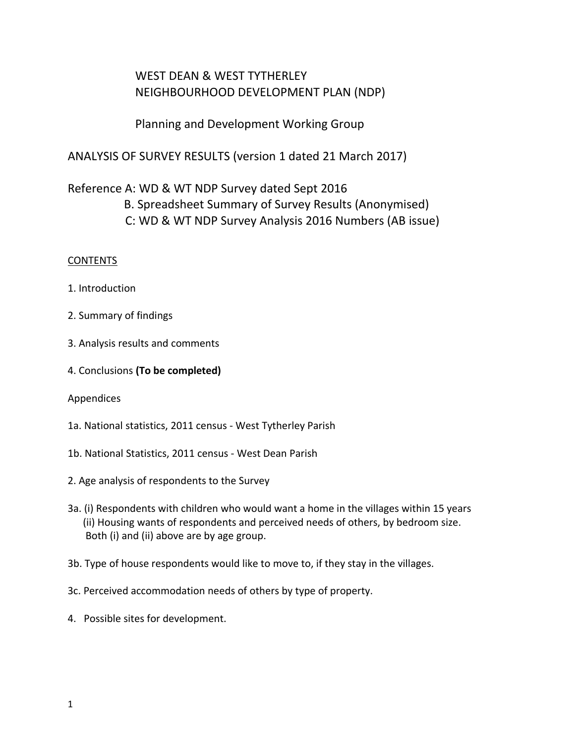# WEST DEAN & WEST TYTHERLEY NEIGHBOURHOOD DEVELOPMENT PLAN (NDP)

Planning and Development Working Group

ANALYSIS OF SURVEY RESULTS (version 1 dated 21 March 2017)

# Reference A: WD & WT NDP Survey dated Sept 2016

 B. Spreadsheet Summary of Survey Results (Anonymised) C: WD & WT NDP Survey Analysis 2016 Numbers (AB issue)

## **CONTENTS**

- 1. Introduction
- 2. Summary of findings
- 3. Analysis results and comments
- 4. Conclusions **(To be completed)**

## Appendices

- 1a. National statistics, 2011 census West Tytherley Parish
- 1b. National Statistics, 2011 census West Dean Parish
- 2. Age analysis of respondents to the Survey
- 3a. (i) Respondents with children who would want a home in the villages within 15 years (ii) Housing wants of respondents and perceived needs of others, by bedroom size. Both (i) and (ii) above are by age group.
- 3b. Type of house respondents would like to move to, if they stay in the villages.
- 3c. Perceived accommodation needs of others by type of property.
- 4. Possible sites for development.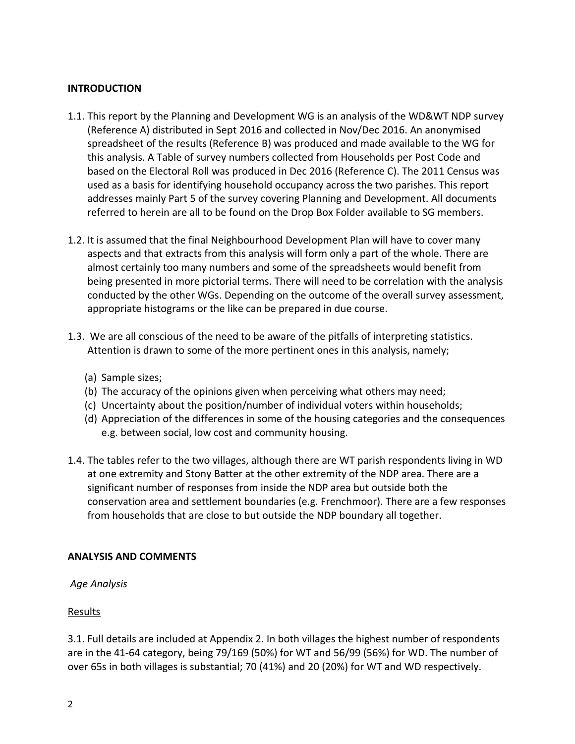#### **INTRODUCTION**

- 1.1. This report by the Planning and Development WG is an analysis of the WD&WT NDP survey (Reference A) distributed in Sept 2016 and collected in Nov/Dec 2016. An anonymised spreadsheet of the results (Reference B) was produced and made available to the WG for this analysis. A Table of survey numbers collected from Households per Post Code and based on the Electoral Roll was produced in Dec 2016 (Reference C). The 2011 Census was used as a basis for identifying household occupancy across the two parishes. This report addresses mainly Part 5 of the survey covering Planning and Development. All documents referred to herein are all to be found on the Drop Box Folder available to SG members.
- 1.2. It is assumed that the final Neighbourhood Development Plan will have to cover many aspects and that extracts from this analysis will form only a part of the whole. There are almost certainly too many numbers and some of the spreadsheets would benefit from being presented in more pictorial terms. There will need to be correlation with the analysis conducted by the other WGs. Depending on the outcome of the overall survey assessment, appropriate histograms or the like can be prepared in due course.
- 1.3. We are all conscious of the need to be aware of the pitfalls of interpreting statistics. Attention is drawn to some of the more pertinent ones in this analysis, namely;
	- (a) Sample sizes;
	- (b) The accuracy of the opinions given when perceiving what others may need;
	- (c) Uncertainty about the position/number of individual voters within households;
	- (d) Appreciation of the differences in some of the housing categories and the consequences e.g. between social, low cost and community housing.
- 1.4. The tables refer to the two villages, although there are WT parish respondents living in WD at one extremity and Stony Batter at the other extremity of the NDP area. There are a significant number of responses from inside the NDP area but outside both the conservation area and settlement boundaries (e.g. Frenchmoor). There are a few responses from households that are close to but outside the NDP boundary all together.

#### **ANALYSIS AND COMMENTS**

#### *Age Analysis*

#### Results

3.1. Full details are included at Appendix 2. In both villages the highest number of respondents are in the 41-64 category, being 79/169 (50%) for WT and 56/99 (56%) for WD. The number of over 65s in both villages is substantial; 70 (41%) and 20 (20%) for WT and WD respectively.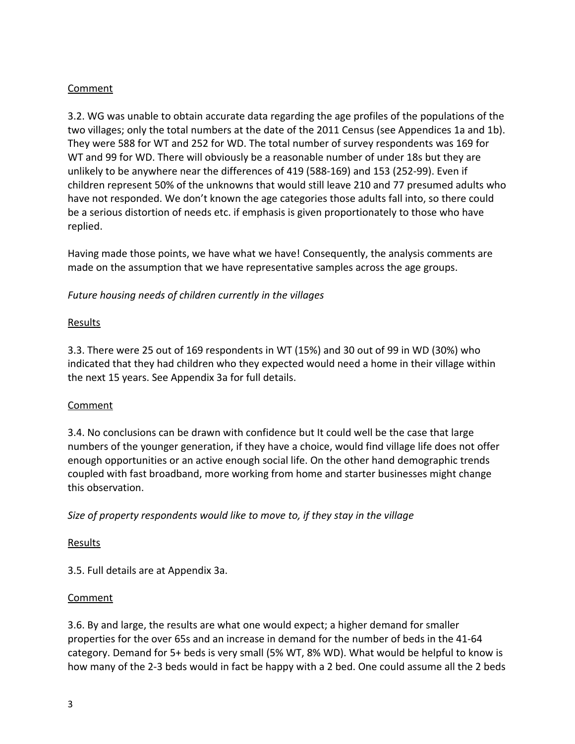## Comment

3.2. WG was unable to obtain accurate data regarding the age profiles of the populations of the two villages; only the total numbers at the date of the 2011 Census (see Appendices 1a and 1b). They were 588 for WT and 252 for WD. The total number of survey respondents was 169 for WT and 99 for WD. There will obviously be a reasonable number of under 18s but they are unlikely to be anywhere near the differences of 419 (588-169) and 153 (252-99). Even if children represent 50% of the unknowns that would still leave 210 and 77 presumed adults who have not responded. We don't known the age categories those adults fall into, so there could be a serious distortion of needs etc. if emphasis is given proportionately to those who have replied.

Having made those points, we have what we have! Consequently, the analysis comments are made on the assumption that we have representative samples across the age groups.

## *Future housing needs of children currently in the villages*

## Results

3.3. There were 25 out of 169 respondents in WT (15%) and 30 out of 99 in WD (30%) who indicated that they had children who they expected would need a home in their village within the next 15 years. See Appendix 3a for full details.

# Comment

3.4. No conclusions can be drawn with confidence but It could well be the case that large numbers of the younger generation, if they have a choice, would find village life does not offer enough opportunities or an active enough social life. On the other hand demographic trends coupled with fast broadband, more working from home and starter businesses might change this observation.

*Size of property respondents would like to move to, if they stay in the village*

## **Results**

3.5. Full details are at Appendix 3a.

# **Comment**

3.6. By and large, the results are what one would expect; a higher demand for smaller properties for the over 65s and an increase in demand for the number of beds in the 41-64 category. Demand for 5+ beds is very small (5% WT, 8% WD). What would be helpful to know is how many of the 2-3 beds would in fact be happy with a 2 bed. One could assume all the 2 beds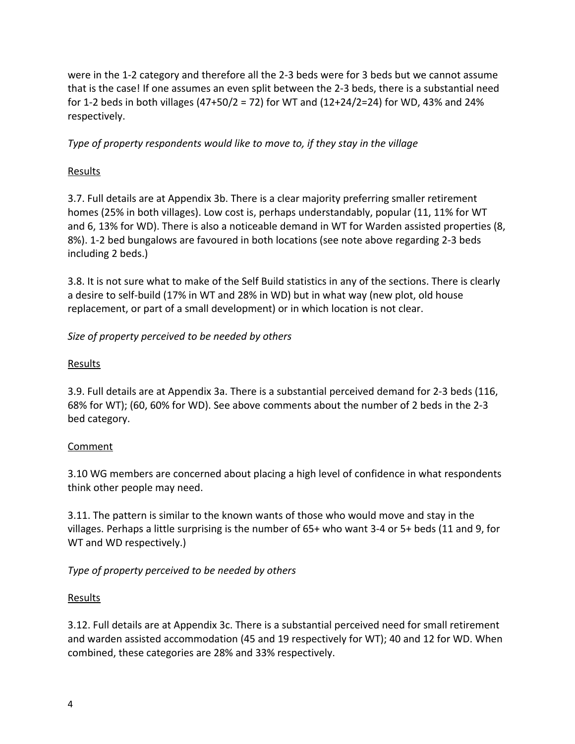were in the 1-2 category and therefore all the 2-3 beds were for 3 beds but we cannot assume that is the case! If one assumes an even split between the 2-3 beds, there is a substantial need for 1-2 beds in both villages (47+50/2 = 72) for WT and (12+24/2=24) for WD, 43% and 24% respectively.

*Type of property respondents would like to move to, if they stay in the village*

# Results

3.7. Full details are at Appendix 3b. There is a clear majority preferring smaller retirement homes (25% in both villages). Low cost is, perhaps understandably, popular (11, 11% for WT and 6, 13% for WD). There is also a noticeable demand in WT for Warden assisted properties (8, 8%). 1-2 bed bungalows are favoured in both locations (see note above regarding 2-3 beds including 2 beds.)

3.8. It is not sure what to make of the Self Build statistics in any of the sections. There is clearly a desire to self-build (17% in WT and 28% in WD) but in what way (new plot, old house replacement, or part of a small development) or in which location is not clear.

# *Size of property perceived to be needed by others*

# Results

3.9. Full details are at Appendix 3a. There is a substantial perceived demand for 2-3 beds (116, 68% for WT); (60, 60% for WD). See above comments about the number of 2 beds in the 2-3 bed category.

# Comment

3.10 WG members are concerned about placing a high level of confidence in what respondents think other people may need.

3.11. The pattern is similar to the known wants of those who would move and stay in the villages. Perhaps a little surprising is the number of 65+ who want 3-4 or 5+ beds (11 and 9, for WT and WD respectively.)

# *Type of property perceived to be needed by others*

# **Results**

3.12. Full details are at Appendix 3c. There is a substantial perceived need for small retirement and warden assisted accommodation (45 and 19 respectively for WT); 40 and 12 for WD. When combined, these categories are 28% and 33% respectively.